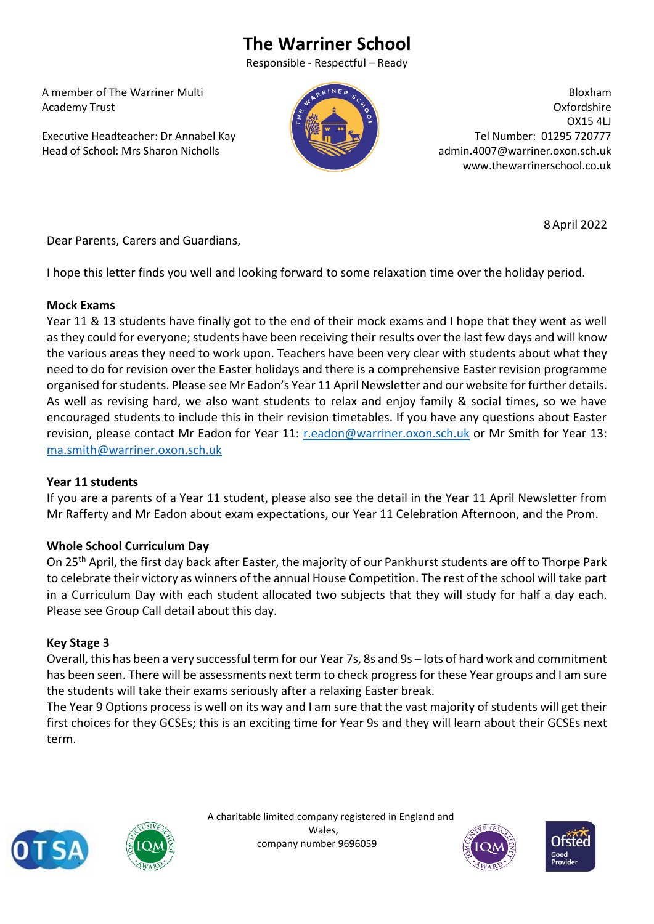# **The Warriner School**

Responsible - Respectful – Ready

 A member of The Warriner Multi Academy Trust

 Executive Headteacher: Dr Annabel Kay Head of School: Mrs Sharon Nicholls



Bloxham Oxfordshire OX15 4LJ Tel Number: 01295 720777 admin.4007@warriner.oxon.sch.uk www.thewarrinerschool.co.uk

Dear Parents, Carers and Guardians,

I hope this letter finds you well and looking forward to some relaxation time over the holiday period.

## **Mock Exams**

Year 11 & 13 students have finally got to the end of their mock exams and I hope that they went as well as they could for everyone; students have been receiving their results over the last few days and will know the various areas they need to work upon. Teachers have been very clear with students about what they need to do for revision over the Easter holidays and there is a comprehensive Easter revision programme organised for students. Please see Mr Eadon's Year 11 April Newsletter and our website for further details. As well as revising hard, we also want students to relax and enjoy family & social times, so we have encouraged students to include this in their revision timetables. If you have any questions about Easter revision, please contact Mr Eadon for Year 11: [r.eadon@warriner.oxon.sch.uk](mailto:r.eadon@warriner.oxon.sch.uk) or Mr Smith for Year 13: [ma.smith@warriner.oxon.sch.uk](mailto:ma.smith@warriner.oxon.sch.uk)

## **Year 11 students**

If you are a parents of a Year 11 student, please also see the detail in the Year 11 April Newsletter from Mr Rafferty and Mr Eadon about exam expectations, our Year 11 Celebration Afternoon, and the Prom.

## **Whole School Curriculum Day**

On 25th April, the first day back after Easter, the majority of our Pankhurst students are off to Thorpe Park to celebrate their victory as winners of the annual House Competition. The rest of the school will take part in a Curriculum Day with each student allocated two subjects that they will study for half a day each. Please see Group Call detail about this day.

## **Key Stage 3**

Overall, this has been a very successful term for our Year 7s, 8s and 9s – lots of hard work and commitment has been seen. There will be assessments next term to check progress for these Year groups and I am sure the students will take their exams seriously after a relaxing Easter break.

The Year 9 Options process is well on its way and I am sure that the vast majority of students will get their first choices for they GCSEs; this is an exciting time for Year 9s and they will learn about their GCSEs next term.





 A charitable limited company registered in England and Wales, company number 9696059





8 April 2022